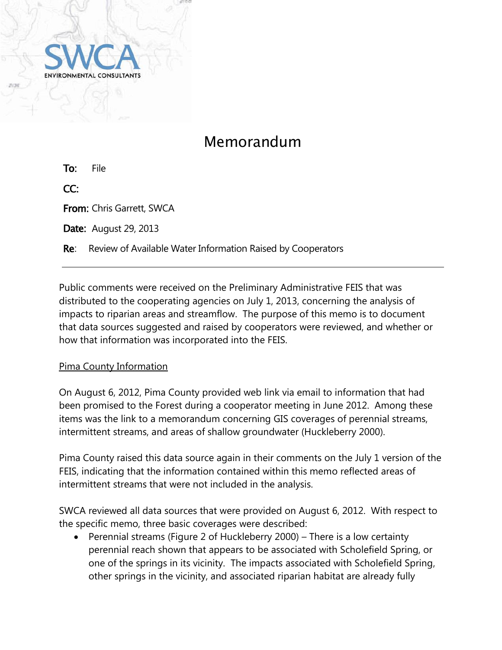

# Memorandum

To: File CC: From: Chris Garrett, SWCA

**Date:** August 29, 2013

**Re:** Review of Available Water Information Raised by Cooperators

Public comments were received on the Preliminary Administrative FEIS that was distributed to the cooperating agencies on July 1, 2013, concerning the analysis of impacts to riparian areas and streamflow. The purpose of this memo is to document that data sources suggested and raised by cooperators were reviewed, and whether or how that information was incorporated into the FEIS.

### Pima County Information

On August 6, 2012, Pima County provided web link via email to information that had been promised to the Forest during a cooperator meeting in June 2012. Among these items was the link to a memorandum concerning GIS coverages of perennial streams, intermittent streams, and areas of shallow groundwater (Huckleberry 2000).

Pima County raised this data source again in their comments on the July 1 version of the FEIS, indicating that the information contained within this memo reflected areas of intermittent streams that were not included in the analysis.

SWCA reviewed all data sources that were provided on August 6, 2012. With respect to the specific memo, three basic coverages were described:

 Perennial streams (Figure 2 of Huckleberry 2000) – There is a low certainty perennial reach shown that appears to be associated with Scholefield Spring, or one of the springs in its vicinity. The impacts associated with Scholefield Spring, other springs in the vicinity, and associated riparian habitat are already fully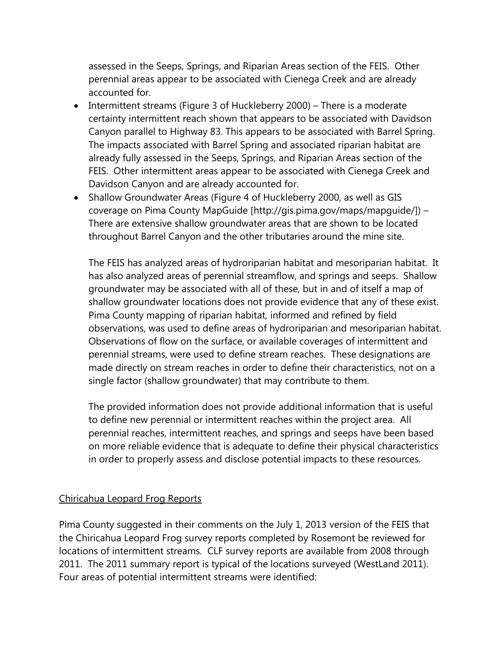assessed in the Seeps, Springs, and Riparian Areas section of the FEIS. Other perennial areas appear to be associated with Cienega Creek and are already accounted for.

- Intermittent streams (Figure 3 of Huckleberry 2000) There is a moderate certainty intermittent reach shown that appears to be associated with Davidson Canyon parallel to Highway 83. This appears to be associated with Barrel Spring. The impacts associated with Barrel Spring and associated riparian habitat are already fully assessed in the Seeps, Springs, and Riparian Areas section of the FEIS. Other intermittent areas appear to be associated with Cienega Creek and Davidson Canyon and are already accounted for.
- Shallow Groundwater Areas (Figure 4 of Huckleberry 2000, as well as GIS coverage on Pima County MapGuide [http://gis.pima.gov/maps/mapguide/]) – There are extensive shallow groundwater areas that are shown to be located throughout Barrel Canyon and the other tributaries around the mine site.

The FEIS has analyzed areas of hydroriparian habitat and mesoriparian habitat. It has also analyzed areas of perennial streamflow, and springs and seeps. Shallow groundwater may be associated with all of these, but in and of itself a map of shallow groundwater locations does not provide evidence that any of these exist. Pima County mapping of riparian habitat, informed and refined by field observations, was used to define areas of hydroriparian and mesoriparian habitat. Observations of flow on the surface, or available coverages of intermittent and perennial streams, were used to define stream reaches. These designations are made directly on stream reaches in order to define their characteristics, not on a single factor (shallow groundwater) that may contribute to them.

The provided information does not provide additional information that is useful to define new perennial or intermittent reaches within the project area. All perennial reaches, intermittent reaches, and springs and seeps have been based on more reliable evidence that is adequate to define their physical characteristics in order to properly assess and disclose potential impacts to these resources.

### Chiricahua Leopard Frog Reports

Pima County suggested in their comments on the July 1, 2013 version of the FEIS that the Chiricahua Leopard Frog survey reports completed by Rosemont be reviewed for locations of intermittent streams. CLF survey reports are available from 2008 through 2011. The 2011 summary report is typical of the locations surveyed (WestLand 2011). Four areas of potential intermittent streams were identified: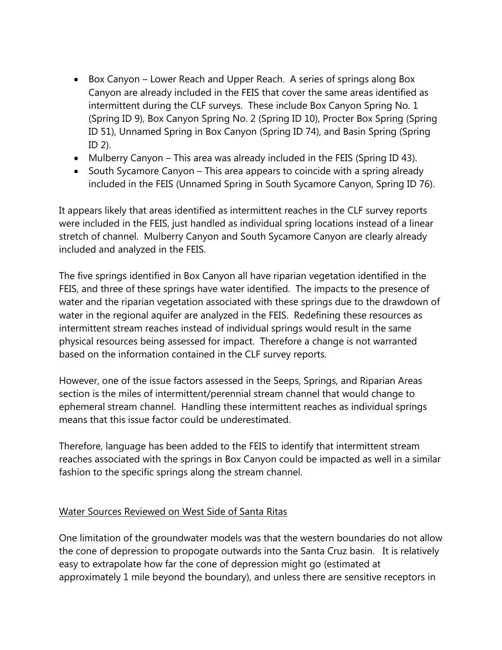- Box Canyon Lower Reach and Upper Reach. A series of springs along Box Canyon are already included in the FEIS that cover the same areas identified as intermittent during the CLF surveys. These include Box Canyon Spring No. 1 (Spring ID 9), Box Canyon Spring No. 2 (Spring ID 10), Procter Box Spring (Spring ID 51), Unnamed Spring in Box Canyon (Spring ID 74), and Basin Spring (Spring ID 2).
- Mulberry Canyon This area was already included in the FEIS (Spring ID 43).
- South Sycamore Canyon This area appears to coincide with a spring already included in the FEIS (Unnamed Spring in South Sycamore Canyon, Spring ID 76).

It appears likely that areas identified as intermittent reaches in the CLF survey reports were included in the FEIS, just handled as individual spring locations instead of a linear stretch of channel. Mulberry Canyon and South Sycamore Canyon are clearly already included and analyzed in the FEIS.

The five springs identified in Box Canyon all have riparian vegetation identified in the FEIS, and three of these springs have water identified. The impacts to the presence of water and the riparian vegetation associated with these springs due to the drawdown of water in the regional aquifer are analyzed in the FEIS. Redefining these resources as intermittent stream reaches instead of individual springs would result in the same physical resources being assessed for impact. Therefore a change is not warranted based on the information contained in the CLF survey reports.

However, one of the issue factors assessed in the Seeps, Springs, and Riparian Areas section is the miles of intermittent/perennial stream channel that would change to ephemeral stream channel. Handling these intermittent reaches as individual springs means that this issue factor could be underestimated.

Therefore, language has been added to the FEIS to identify that intermittent stream reaches associated with the springs in Box Canyon could be impacted as well in a similar fashion to the specific springs along the stream channel.

## Water Sources Reviewed on West Side of Santa Ritas

One limitation of the groundwater models was that the western boundaries do not allow the cone of depression to propogate outwards into the Santa Cruz basin. It is relatively easy to extrapolate how far the cone of depression might go (estimated at approximately 1 mile beyond the boundary), and unless there are sensitive receptors in